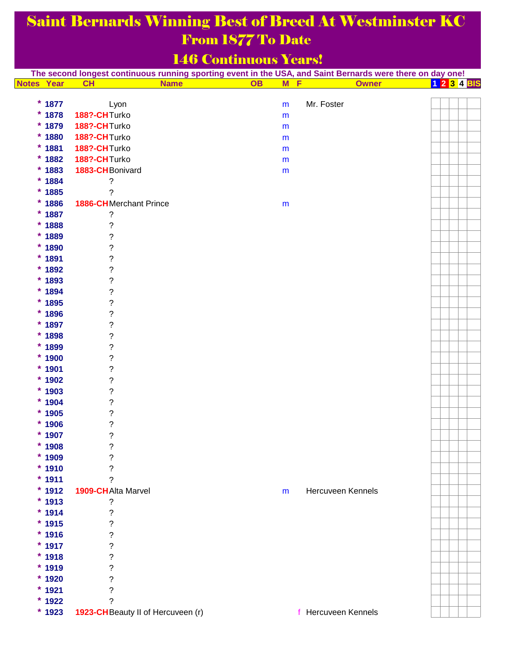## Saint Bernards Winning Best of Breed At Westminster KC From 1877 To Date

## 146 Continuous Years!

| The second longest continuous running sporting event in the USA, and Saint Bernards were there on day one! |                                   |                             |                |                     |  |  |  |  |             |
|------------------------------------------------------------------------------------------------------------|-----------------------------------|-----------------------------|----------------|---------------------|--|--|--|--|-------------|
| <b>Notes Year</b>                                                                                          | <b>CH</b><br><b>Name</b>          | $\overline{OB}$<br><b>M</b> | $\blacksquare$ | <b>Owner</b>        |  |  |  |  | 1 2 3 4 BIS |
|                                                                                                            |                                   |                             |                |                     |  |  |  |  |             |
| $*1877$                                                                                                    | Lyon                              | m                           |                | Mr. Foster          |  |  |  |  |             |
| $* 1878$                                                                                                   | 188?-CHTurko                      | m                           |                |                     |  |  |  |  |             |
| $*1879$                                                                                                    | 188?-CHTurko                      | m                           |                |                     |  |  |  |  |             |
| $*1880$                                                                                                    | 188?-CHTurko                      | m                           |                |                     |  |  |  |  |             |
| $*1881$                                                                                                    | 188?-CHTurko                      | ${\sf m}$                   |                |                     |  |  |  |  |             |
| $* 1882$                                                                                                   | 188?-CHTurko                      | ${\sf m}$                   |                |                     |  |  |  |  |             |
| $*1883$                                                                                                    | 1883-CH Bonivard                  | m                           |                |                     |  |  |  |  |             |
| $* 1884$                                                                                                   | $\tilde{?}$                       |                             |                |                     |  |  |  |  |             |
| $*1885$                                                                                                    | ?                                 |                             |                |                     |  |  |  |  |             |
| $* 1886$                                                                                                   | <b>1886-CH</b> Merchant Prince    | ${\sf m}$                   |                |                     |  |  |  |  |             |
| $* 1887$                                                                                                   | $\tilde{?}$                       |                             |                |                     |  |  |  |  |             |
| $* 1888$                                                                                                   | $\boldsymbol{?}$                  |                             |                |                     |  |  |  |  |             |
| $*1889$                                                                                                    | $\tilde{?}$                       |                             |                |                     |  |  |  |  |             |
| $*1890$                                                                                                    | $\tilde{?}$                       |                             |                |                     |  |  |  |  |             |
| $*1891$                                                                                                    | $\tilde{?}$                       |                             |                |                     |  |  |  |  |             |
| $*1892$                                                                                                    | $\ddot{\phantom{0}}$              |                             |                |                     |  |  |  |  |             |
| $*1893$                                                                                                    | $\ddot{\phantom{0}}$              |                             |                |                     |  |  |  |  |             |
| $*1894$                                                                                                    | $\ddot{\phantom{0}}$              |                             |                |                     |  |  |  |  |             |
| $*1895$                                                                                                    | $\ddot{\phantom{0}}$              |                             |                |                     |  |  |  |  |             |
| $* 1896$                                                                                                   | $\ddot{\phantom{0}}$              |                             |                |                     |  |  |  |  |             |
| $*1897$                                                                                                    | $\ddot{\text{?}}$                 |                             |                |                     |  |  |  |  |             |
| $* 1898$                                                                                                   | $\tilde{?}$                       |                             |                |                     |  |  |  |  |             |
| $*1899$                                                                                                    | $\tilde{?}$                       |                             |                |                     |  |  |  |  |             |
| $*1900$                                                                                                    | $\tilde{?}$                       |                             |                |                     |  |  |  |  |             |
| $*1901$                                                                                                    | $\ddot{\phantom{0}}$              |                             |                |                     |  |  |  |  |             |
| $*1902$                                                                                                    | $\ddot{\phantom{0}}$              |                             |                |                     |  |  |  |  |             |
| $*1903$                                                                                                    | $\ddot{\phantom{0}}$              |                             |                |                     |  |  |  |  |             |
| $*1904$                                                                                                    | $\tilde{?}$                       |                             |                |                     |  |  |  |  |             |
| $*1905$                                                                                                    | $\ddot{\phantom{0}}$              |                             |                |                     |  |  |  |  |             |
| $*1906$                                                                                                    | $\ddot{\phantom{0}}$              |                             |                |                     |  |  |  |  |             |
| $*1907$                                                                                                    | $\overline{\phantom{a}}$          |                             |                |                     |  |  |  |  |             |
| $* 1908$                                                                                                   | ?                                 |                             |                |                     |  |  |  |  |             |
| $*1909$                                                                                                    | ?                                 |                             |                |                     |  |  |  |  |             |
| $*1910$                                                                                                    | ?                                 |                             |                |                     |  |  |  |  |             |
| $*1911$                                                                                                    | ?                                 |                             |                |                     |  |  |  |  |             |
| $*1912$                                                                                                    | 1909-CH Alta Marvel               | m                           |                | Hercuveen Kennels   |  |  |  |  |             |
| $*1913$                                                                                                    | ?                                 |                             |                |                     |  |  |  |  |             |
| $*1914$                                                                                                    | ?                                 |                             |                |                     |  |  |  |  |             |
| $*1915$                                                                                                    | ?                                 |                             |                |                     |  |  |  |  |             |
| $* 1916$                                                                                                   | ?                                 |                             |                |                     |  |  |  |  |             |
| $*1917$                                                                                                    | ?                                 |                             |                |                     |  |  |  |  |             |
| $* 1918$                                                                                                   | ?                                 |                             |                |                     |  |  |  |  |             |
| $*1919$                                                                                                    | ?                                 |                             |                |                     |  |  |  |  |             |
| $*1920$                                                                                                    | $\overline{\mathcal{C}}$          |                             |                |                     |  |  |  |  |             |
| $*1921$                                                                                                    | $\overline{\mathcal{C}}$          |                             |                |                     |  |  |  |  |             |
| $*1922$                                                                                                    | ?                                 |                             |                |                     |  |  |  |  |             |
| $*1923$                                                                                                    | 1923-CHBeauty II of Hercuveen (r) |                             |                | f Hercuveen Kennels |  |  |  |  |             |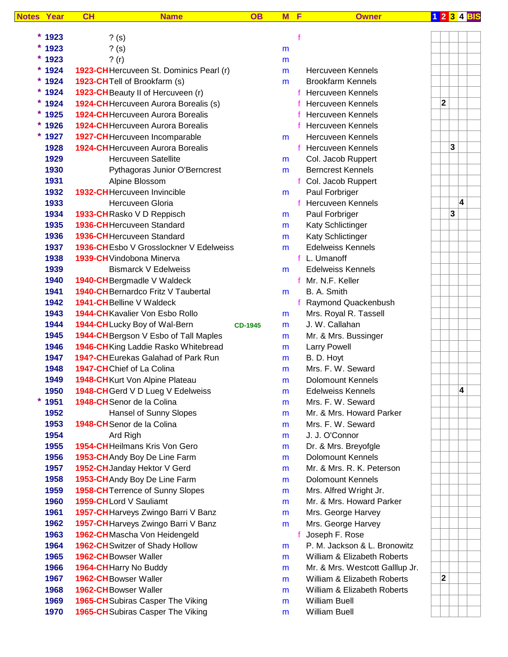| <b>Notes</b> | Year     | CH | <b>Name</b>                                    | <b>OB</b>      | M | F            | <b>Owner</b>                    |             |   |   | 1 2 3 4 BIS |
|--------------|----------|----|------------------------------------------------|----------------|---|--------------|---------------------------------|-------------|---|---|-------------|
|              |          |    |                                                |                |   |              |                                 |             |   |   |             |
|              | $*1923$  |    | $?$ (s)                                        |                |   | f            |                                 |             |   |   |             |
|              | $*1923$  |    | $?$ (s)                                        |                | m |              |                                 |             |   |   |             |
|              | $*1923$  |    | ? (r)                                          |                | m |              |                                 |             |   |   |             |
|              | $*1924$  |    | 1923-CH Hercuveen St. Dominics Pearl (r)       |                | m |              | <b>Hercuveen Kennels</b>        |             |   |   |             |
|              | $*1924$  |    | 1923-CHTell of Brookfarm (s)                   |                | m |              | <b>Brookfarm Kennels</b>        |             |   |   |             |
|              | $* 1924$ |    | 1923-CH Beauty II of Hercuveen (r)             |                |   | f            | <b>Hercuveen Kennels</b>        |             |   |   |             |
|              | $* 1924$ |    | <b>1924-CH</b> Hercuveen Aurora Borealis (s)   |                |   |              | Hercuveen Kennels               | $\mathbf 2$ |   |   |             |
|              | $*1925$  |    | <b>1924-CH</b> Hercuveen Aurora Borealis       |                |   |              | <b>Hercuveen Kennels</b>        |             |   |   |             |
| *            | 1926     |    | <b>1924-CH</b> Hercuveen Aurora Borealis       |                |   | f.           | Hercuveen Kennels               |             |   |   |             |
| *            | 1927     |    | 1927-CHHercuveen Incomparable                  |                | m |              | Hercuveen Kennels               |             |   |   |             |
|              | 1928     |    | <b>1924-CH</b> Hercuveen Aurora Borealis       |                |   | $\mathbf{f}$ | <b>Hercuveen Kennels</b>        |             | 3 |   |             |
|              | 1929     |    | <b>Hercuveen Satellite</b>                     |                | m |              | Col. Jacob Ruppert              |             |   |   |             |
|              | 1930     |    | Pythagoras Junior O'Berncrest                  |                | m |              | <b>Berncrest Kennels</b>        |             |   |   |             |
|              | 1931     |    | Alpine Blossom                                 |                |   | f            | Col. Jacob Ruppert              |             |   |   |             |
|              | 1932     |    | <b>1932-CH</b> Hercuveen Invincible            |                | m |              | Paul Forbriger                  |             |   |   |             |
|              | 1933     |    | Hercuveen Gloria                               |                |   | $\mathbf{f}$ | <b>Hercuveen Kennels</b>        |             |   | 4 |             |
|              | 1934     |    | 1933-CHRasko V D Reppisch                      |                | m |              | Paul Forbriger                  |             | 3 |   |             |
|              | 1935     |    | 1936-CH Hercuveen Standard                     |                | m |              | <b>Katy Schlictinger</b>        |             |   |   |             |
|              | 1936     |    | 1936-CH Hercuveen Standard                     |                | m |              | Katy Schlictinger               |             |   |   |             |
|              | 1937     |    | <b>1936-CH</b> Esbo V Grosslockner V Edelweiss |                | m |              | <b>Edelweiss Kennels</b>        |             |   |   |             |
|              | 1938     |    | 1939-CH Vindobona Minerva                      |                |   |              | f L. Umanoff                    |             |   |   |             |
|              | 1939     |    | <b>Bismarck V Edelweiss</b>                    |                | m |              | <b>Edelweiss Kennels</b>        |             |   |   |             |
|              | 1940     |    | 1940-CH Bergmadle V Waldeck                    |                |   |              | f Mr. N.F. Keller               |             |   |   |             |
|              | 1941     |    | 1940-CH Bernardco Fritz V Taubertal            |                | m |              | B. A. Smith                     |             |   |   |             |
|              | 1942     |    | <b>1941-CH</b> Belline V Waldeck               |                |   |              | Raymond Quackenbush             |             |   |   |             |
|              | 1943     |    | 1944-CHKavalier Von Esbo Rollo                 |                | m |              | Mrs. Royal R. Tassell           |             |   |   |             |
|              | 1944     |    | 1944-CHLucky Boy of Wal-Bern                   | <b>CD-1945</b> | m |              | J. W. Callahan                  |             |   |   |             |
|              | 1945     |    | 1944-CH Bergson V Esbo of Tall Maples          |                | m |              | Mr. & Mrs. Bussinger            |             |   |   |             |
|              | 1946     |    | 1946-CHKing Laddie Rasko Whitebread            |                | m |              | <b>Larry Powell</b>             |             |   |   |             |
|              | 1947     |    | 194?-CH Eurekas Galahad of Park Run            |                | m |              | B. D. Hoyt                      |             |   |   |             |
|              | 1948     |    | 1947-CHChief of La Colina                      |                | m |              | Mrs. F. W. Seward               |             |   |   |             |
|              | 1949     |    | 1948-CHKurt Von Alpine Plateau                 |                | m |              | <b>Dolomount Kennels</b>        |             |   |   |             |
|              | 1950     |    | 1948-CH Gerd V D Lueg V Edelweiss              |                | m |              | <b>Edelweiss Kennels</b>        |             |   | 4 |             |
|              | $*1951$  |    | 1948-CH Senor de la Colina                     |                | m |              | Mrs. F. W. Seward               |             |   |   |             |
|              | 1952     |    | <b>Hansel of Sunny Slopes</b>                  |                | m |              | Mr. & Mrs. Howard Parker        |             |   |   |             |
|              | 1953     |    | 1948-CH Senor de la Colina                     |                | m |              | Mrs. F. W. Seward               |             |   |   |             |
|              | 1954     |    | Ard Righ                                       |                | m |              | J. J. O'Connor                  |             |   |   |             |
|              | 1955     |    | 1954-CHHeilmans Kris Von Gero                  |                | m |              | Dr. & Mrs. Breyofgle            |             |   |   |             |
|              | 1956     |    | 1953-CH Andy Boy De Line Farm                  |                | m |              | <b>Dolomount Kennels</b>        |             |   |   |             |
|              | 1957     |    | 1952-CH Janday Hektor V Gerd                   |                | m |              | Mr. & Mrs. R. K. Peterson       |             |   |   |             |
|              | 1958     |    | 1953-CH Andy Boy De Line Farm                  |                | m |              | <b>Dolomount Kennels</b>        |             |   |   |             |
|              | 1959     |    | 1958-CH Terrence of Sunny Slopes               |                | m |              | Mrs. Alfred Wright Jr.          |             |   |   |             |
|              | 1960     |    | 1959-CHLord V Sauliamt                         |                | m |              | Mr. & Mrs. Howard Parker        |             |   |   |             |
|              | 1961     |    | 1957-CH Harveys Zwingo Barri V Banz            |                | m |              | Mrs. George Harvey              |             |   |   |             |
|              | 1962     |    | 1957-CH Harveys Zwingo Barri V Banz            |                | m |              | Mrs. George Harvey              |             |   |   |             |
|              | 1963     |    | 1962-CHMascha Von Heidengeld                   |                |   | f            | Joseph F. Rose                  |             |   |   |             |
|              | 1964     |    | 1962-CH Switzer of Shady Hollow                |                | m |              | P. M. Jackson & L. Bronowitz    |             |   |   |             |
|              | 1965     |    | 1962-CH Bowser Waller                          |                | m |              | William & Elizabeth Roberts     |             |   |   |             |
|              | 1966     |    | 1964-CH Harry No Buddy                         |                | m |              | Mr. & Mrs. Westcott Galllup Jr. |             |   |   |             |
|              | 1967     |    | 1962-CH Bowser Waller                          |                | m |              | William & Elizabeth Roberts     | $\mathbf 2$ |   |   |             |
|              | 1968     |    | 1962-CH Bowser Waller                          |                | m |              | William & Elizabeth Roberts     |             |   |   |             |
|              | 1969     |    | 1965-CH Subiras Casper The Viking              |                | m |              | <b>William Buell</b>            |             |   |   |             |
|              | 1970     |    | 1965-CH Subiras Casper The Viking              |                | m |              | William Buell                   |             |   |   |             |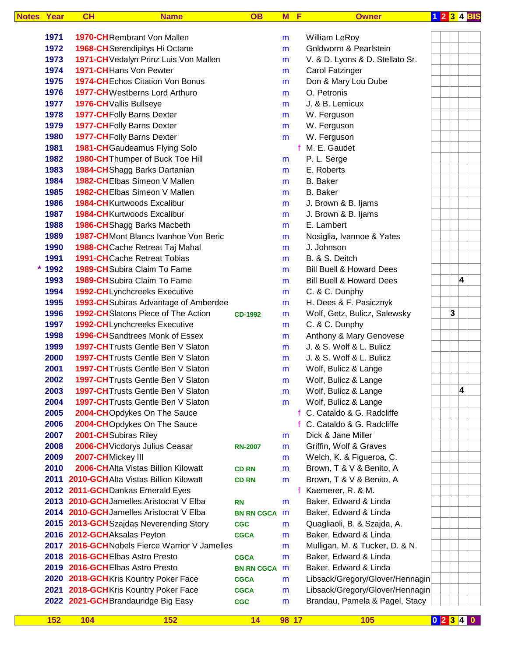| <b>Notes</b> | Year     | CH                                                  | <b>Name</b>                                   | <b>OB</b>         | M      | E | <b>Owner</b>                                       | 1 2 3 4 BIS |   |   |  |
|--------------|----------|-----------------------------------------------------|-----------------------------------------------|-------------------|--------|---|----------------------------------------------------|-------------|---|---|--|
|              | 1971     | <b>1970-CH</b> Rembrant Von Mallen                  |                                               |                   |        |   |                                                    |             |   |   |  |
|              | 1972     |                                                     |                                               |                   | m      |   | <b>William LeRoy</b><br>Goldworm & Pearlstein      |             |   |   |  |
|              | 1973     | 1968-CH Serendipitys Hi Octane                      | 1971-CH Vedalyn Prinz Luis Von Mallen         |                   | m      |   |                                                    |             |   |   |  |
|              | 1974     | 1971-CHHans Von Pewter                              |                                               |                   | m      |   | V. & D. Lyons & D. Stellato Sr.<br>Carol Fatzinger |             |   |   |  |
|              | 1975     |                                                     | <b>1974-CHEchos Citation Von Bonus</b>        |                   | m      |   | Don & Mary Lou Dube                                |             |   |   |  |
|              | 1976     |                                                     | <b>1977-CH</b> Westberns Lord Arthuro         |                   | m      |   | O. Petronis                                        |             |   |   |  |
|              | 1977     |                                                     |                                               |                   | m      |   | J. & B. Lemicux                                    |             |   |   |  |
|              | 1978     | 1976-CHVallis Bullseye<br>1977-CHFolly Barns Dexter |                                               |                   | m      |   |                                                    |             |   |   |  |
|              | 1979     | <b>1977-CHFolly Barns Dexter</b>                    |                                               |                   | m      |   | W. Ferguson                                        |             |   |   |  |
|              | 1980     | <b>1977-CHFolly Barns Dexter</b>                    |                                               |                   | m<br>m |   | W. Ferguson<br>W. Ferguson                         |             |   |   |  |
|              | 1981     |                                                     | 1981-CH Gaudeamus Flying Solo                 |                   |        | f | M. E. Gaudet                                       |             |   |   |  |
|              | 1982     |                                                     | 1980-CH Thumper of Buck Toe Hill              |                   | m      |   | P. L. Serge                                        |             |   |   |  |
|              | 1983     |                                                     | 1984-CH Shagg Barks Dartanian                 |                   | m      |   | E. Roberts                                         |             |   |   |  |
|              | 1984     |                                                     | 1982-CHElbas Simeon V Mallen                  |                   | m      |   | B. Baker                                           |             |   |   |  |
|              | 1985     |                                                     | 1982-CHElbas Simeon V Mallen                  |                   |        |   | <b>B.</b> Baker                                    |             |   |   |  |
|              | 1986     | <b>1984-CH</b> Kurtwoods Excalibur                  |                                               |                   | m      |   | J. Brown & B. Ijams                                |             |   |   |  |
|              | 1987     | <b>1984-CH</b> Kurtwoods Excalibur                  |                                               |                   | m      |   | J. Brown & B. Ijams                                |             |   |   |  |
|              | 1988     | 1986-CH Shagg Barks Macbeth                         |                                               |                   | m<br>m |   | E. Lambert                                         |             |   |   |  |
|              | 1989     |                                                     | 1987-CHMont Blancs Ivanhoe Von Beric          |                   | m      |   | Nosiglia, Ivannoe & Yates                          |             |   |   |  |
|              | 1990     |                                                     | 1988-CH Cache Retreat Taj Mahal               |                   | m      |   | J. Johnson                                         |             |   |   |  |
|              | 1991     | <b>1991-CH</b> Cache Retreat Tobias                 |                                               |                   | m      |   | B. & S. Deitch                                     |             |   |   |  |
|              | $* 1992$ | 1989-CH Subira Claim To Fame                        |                                               |                   | m      |   | <b>Bill Buell &amp; Howard Dees</b>                |             |   |   |  |
|              | 1993     | 1989-CH Subira Claim To Fame                        |                                               |                   | m      |   | <b>Bill Buell &amp; Howard Dees</b>                |             |   | 4 |  |
|              | 1994     |                                                     | 1992-CHLynchcreeks Executive                  |                   |        |   | C. & C. Dunphy                                     |             |   |   |  |
|              | 1995     |                                                     | 1993-CH Subiras Advantage of Amberdee         |                   | m<br>m |   | H. Dees & F. Pasicznyk                             |             |   |   |  |
|              | 1996     |                                                     | 1992-CH Slatons Piece of The Action           | <b>CD-1992</b>    | m      |   | Wolf, Getz, Bulicz, Salewsky                       |             | 3 |   |  |
|              | 1997     |                                                     | 1992-CHLynchcreeks Executive                  |                   | m      |   | C. & C. Dunphy                                     |             |   |   |  |
|              | 1998     |                                                     | 1996-CH Sandtrees Monk of Essex               |                   | m      |   | Anthony & Mary Genovese                            |             |   |   |  |
|              | 1999     |                                                     | 1997-CH Trusts Gentle Ben V Slaton            |                   | m      |   | J. & S. Wolf & L. Bulicz                           |             |   |   |  |
|              | 2000     |                                                     | <b>1997-CH Trusts Gentle Ben V Slaton</b>     |                   | m      |   | J. & S. Wolf & L. Bulicz                           |             |   |   |  |
|              | 2001     |                                                     | 1997-CH Trusts Gentle Ben V Slaton            |                   | m      |   | Wolf, Bulicz & Lange                               |             |   |   |  |
|              | 2002     |                                                     | <b>1997-CH</b> Trusts Gentle Ben V Slaton     |                   | m      |   | Wolf, Bulicz & Lange                               |             |   |   |  |
|              | 2003     |                                                     | 1997-CH Trusts Gentle Ben V Slaton            |                   | m      |   | Wolf, Bulicz & Lange                               |             |   | 4 |  |
|              | 2004     |                                                     | 1997-CH Trusts Gentle Ben V Slaton            |                   | m      |   | Wolf, Bulicz & Lange                               |             |   |   |  |
|              | 2005     |                                                     | 2004-CHOpdykes On The Sauce                   |                   |        |   | C. Cataldo & G. Radcliffe                          |             |   |   |  |
|              | 2006     |                                                     | 2004-CHOpdykes On The Sauce                   |                   |        | f | C. Cataldo & G. Radcliffe                          |             |   |   |  |
|              | 2007     | 2001-CH Subiras Riley                               |                                               |                   | m      |   | Dick & Jane Miller                                 |             |   |   |  |
|              | 2008     | 2006-CH Vicdorys Julius Ceasar                      |                                               | <b>RN-2007</b>    | m      |   | Griffin, Wolf & Graves                             |             |   |   |  |
|              | 2009     | 2007-CHMickey III                                   |                                               |                   | m      |   | Welch, K. & Figueroa, C.                           |             |   |   |  |
|              | 2010     |                                                     | 2006-CHAlta Vistas Billion Kilowatt           | <b>CD RN</b>      | m      |   | Brown, T & V & Benito, A                           |             |   |   |  |
|              |          |                                                     | 2011 2010-GCHAlta Vistas Billion Kilowatt     | <b>CD RN</b>      | m      |   | Brown, T & V & Benito, A                           |             |   |   |  |
|              |          | 2012 2011-GCHDankas Emerald Eyes                    |                                               |                   |        | f | Kaemerer, R. & M.                                  |             |   |   |  |
|              |          |                                                     | 2013 2010-GCH Jamelles Aristocrat V Elba      | <b>RN</b>         | m      |   | Baker, Edward & Linda                              |             |   |   |  |
|              |          |                                                     | 2014 2010-GCH Jamelles Aristocrat V Elba      | <b>BN RN CGCA</b> | m      |   | Baker, Edward & Linda                              |             |   |   |  |
|              |          |                                                     | 2015 2013-GCH Szajdas Neverending Story       | <b>CGC</b>        | m      |   | Quagliaoli, B. & Szajda, A.                        |             |   |   |  |
|              |          | 2016 2012-GCH Aksalas Peyton                        |                                               | <b>CGCA</b>       | m      |   | Baker, Edward & Linda                              |             |   |   |  |
|              |          |                                                     | 2017 2016-GCHNobels Fierce Warrior V Jamelles |                   | m      |   | Mulligan, M. & Tucker, D. & N.                     |             |   |   |  |
|              |          | 2018 2016-GCH Elbas Astro Presto                    |                                               | <b>CGCA</b>       | m      |   | Baker, Edward & Linda                              |             |   |   |  |
|              |          | 2019 2016-GCHElbas Astro Presto                     |                                               | <b>BN RN CGCA</b> | m      |   | Baker, Edward & Linda                              |             |   |   |  |
|              |          | 2020 2018-GCHKris Kountry Poker Face                |                                               | <b>CGCA</b>       | m      |   | Libsack/Gregory/Glover/Hennagin                    |             |   |   |  |
|              |          | 2021 2018-GCHKris Kountry Poker Face                |                                               | <b>CGCA</b>       | m      |   | Libsack/Gregory/Glover/Hennagin                    |             |   |   |  |
|              |          | 2022 2021-GCHBrandauridge Big Easy                  |                                               | <b>CGC</b>        | m      |   | Brandau, Pamela & Pagel, Stacy                     |             |   |   |  |
|              |          |                                                     |                                               |                   |        |   |                                                    |             |   |   |  |
|              | 152      | 104                                                 | 152                                           | 14                | 98 17  |   | <b>105</b>                                         | 0 2 3 4 0   |   |   |  |